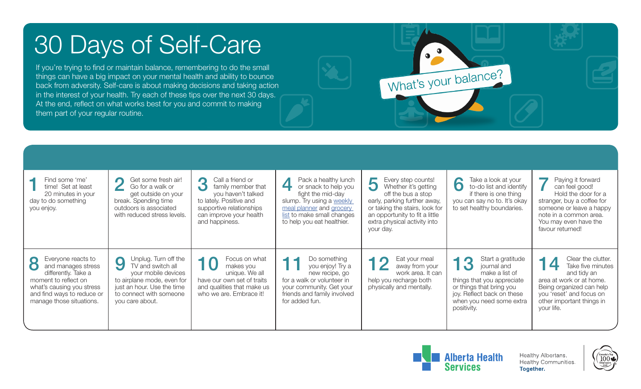## 30 Days of Self-Care

If you're trying to find or maintain balance, remembering to do the small things can have a big impact on your mental health and ability to bounce back from adversity. Self-care is about making decisions and taking action in the interest of your health. Try each of these tips over the next 30 days. At the end, reflect on what works best for you and commit to making them part of your regular routine.

| Find some 'me'<br>time! Set at least<br>20 minutes in your<br>day to do something<br>you enjoy.                                                                                             | Get some fresh air!<br>$\sqrt{2}$<br>Go for a walk or<br>get outside on your<br>break. Spending time<br>outdoors is associated<br>with reduced stress levels.                   | Call a friend or<br>$\bullet$<br>family member that<br>$\bigcirc$<br>you haven't talked<br>to lately. Positive and<br>supportive relationships<br>can improve your health<br>and happiness. | Pack a healthy lunch<br>or snack to help you<br>fight the mid-day<br>slump. Try using a weekly<br>meal planner and grocery<br>list to make small changes<br>to help you eat healthier. | Every step counts!<br>Whether it's getting<br>$\cup$<br>off the bus a stop<br>early, parking further away,<br>or taking the stairs, look for<br>an opportunity to fit a little<br>extra physical activity into<br>your day. | Take a look at your<br>10<br>to-do list and identify<br>if there is one thing<br>you can say no to. It's okay<br>to set healthy boundaries.                                           | Paying it forward<br>can feel good!<br>Hold the door for a<br>stranger, buy a coffee for<br>someone or leave a happy<br>note in a common area.<br>You may even have the<br>favour returned! |
|---------------------------------------------------------------------------------------------------------------------------------------------------------------------------------------------|---------------------------------------------------------------------------------------------------------------------------------------------------------------------------------|---------------------------------------------------------------------------------------------------------------------------------------------------------------------------------------------|----------------------------------------------------------------------------------------------------------------------------------------------------------------------------------------|-----------------------------------------------------------------------------------------------------------------------------------------------------------------------------------------------------------------------------|---------------------------------------------------------------------------------------------------------------------------------------------------------------------------------------|---------------------------------------------------------------------------------------------------------------------------------------------------------------------------------------------|
| Everyone reacts to<br>$\bullet$<br>and manages stress<br>differently. Take a<br>moment to reflect on<br>what's causing you stress<br>and find ways to reduce or<br>manage those situations. | Unplug. Turn off the<br>9<br>TV and switch all<br>your mobile devices<br>to airplane mode, even for<br>just an hour. Use the time<br>to connect with someone<br>you care about. | Focus on what<br>makes you<br>unique. We all<br>have our own set of traits<br>and qualities that make us<br>who we are. Embrace it!                                                         | Do something<br>you enjoy! Try a<br>new recipe, go<br>for a walk or volunteer in<br>your community. Get your<br>friends and family involved<br>for added fun.                          | Eat your meal<br>away from your<br>work area. It can<br>help you recharge both<br>physically and mentally.                                                                                                                  | Start a gratitude<br>journal and<br>make a list of<br>things that you appreciate<br>or things that bring you<br>joy. Reflect back on these<br>when you need some extra<br>positivity. | Clear the clutter.<br>14<br>Take five minutes<br>and tidy an<br>area at work or at home.<br>Being organized can help<br>you 'reset' and focus on<br>other important things in<br>your life. |



 $\bullet$ 

What's your balance?

Healthy Albertans. Healthy Communities. **Together.**